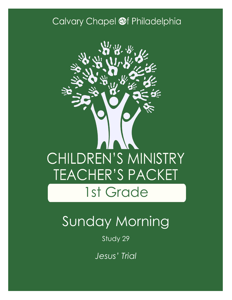### Calvary Chapel @f Philadelphia



# Sunday Morning

Study 29

*Jesus' Trial*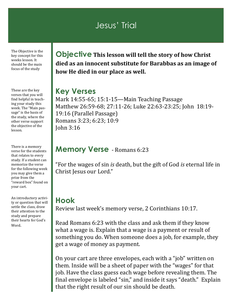### Jesus' Trial

The Objective is the key concept for this weeks lesson. It should be the main focus of the study

These are the key verses that you will find helpful in teaching your study this week. The "Main passage" is the basis of the study, where the other verse support the objective of the lesson.

There is a memory verse for the students that relates to every study. If a student can memorize the verse for the following week you may give them a prize from the "reward box" found on your cart.

An introductory activity or question that will settle the class, draw their attention to the study and prepare their hearts for God's Word.

**Objective This lesson will tell the story of how Christ died as an innocent substitute for Barabbas as an image of how He died in our place as well.**

#### **Key Verses**

Mark 14:55-65; 15:1-15—Main Teaching Passage Matthew 26:59-68; 27:11-26; Luke 22:63-23:25; John 18:19- 19:16 (Parallel Passage) Romans 3:23; 6:23; 10:9 John 3:16

#### **Memory Verse** - Romans 6:23

"For the wages of sin *is* death, but the gift of God *is* eternal life in Christ Jesus our Lord."

### **Hook**

Review last week's memory verse, 2 Corinthians 10:17.

Read Romans 6:23 with the class and ask them if they know what a wage is. Explain that a wage is a payment or result of something you do. When someone does a job, for example, they get a wage of money as payment.

On your cart are three envelopes, each with a "job" written on them. Inside will be a sheet of paper with the "wages" for that job. Have the class guess each wage before revealing them. The final envelope is labeled "sin," and inside it says "death." Explain that the right result of our sin should be death.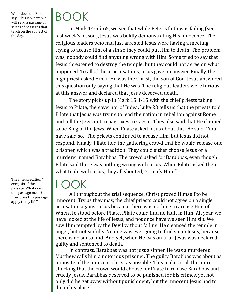What does the Bible say? This is where we will read a passage or series of passages that teach on the subject of the day.

The interpretation/ exegesis of the passage. What does this passage mean? How does this passage apply to my life?

# BOOK

In Mark 14:55-65, we see that while Peter's faith was failing (see last week's lesson), Jesus was boldly demonstrating His innocence. The religious leaders who had just arrested Jesus were having a meeting trying to accuse Him of a sin so they could put Him to death. The problem was, nobody could find anything wrong with Him. Some tried to say that Jesus threatened to destroy the temple, but they could not agree on what happened. To all of these accusations, Jesus gave no answer. Finally, the high priest asked Him if He was the Christ, the Son of God. Jesus answered this question only, saying that He was. The religious leaders were furious at this answer and declared that Jesus deserved death.

The story picks up in Mark 15:1-15 with the chief priests taking Jesus to Pilate, the governor of Judea. Luke 23 tells us that the priests told Pilate that Jesus was trying to lead the nation in rebellion against Rome and tell the Jews not to pay taxes to Caesar. They also said that He claimed to be King of the Jews. When Pilate asked Jesus about this, He said, "You have said so." The priests continued to accuse Him, but Jesus did not respond. Finally, Pilate told the gathering crowd that he would release one prisoner, which was a tradition. They could either choose Jesus or a murderer named Barabbas. The crowd asked for Barabbas, even though Pilate said there was nothing wrong with Jesus. When Pilate asked them what to do with Jesus, they all shouted, "Crucify Him!"

### LOOK

All throughout the trial sequence, Christ proved Himself to be innocent. Try as they may, the chief priests could not agree on a single accusation against Jesus because there was nothing to accuse Him of. When He stood before Pilate, Pilate could find no fault in Him. All year, we have looked at the life of Jesus, and not once have we seen Him sin. We saw Him tempted by the Devil without falling. He cleansed the temple in anger, but not sinfully. No one was ever going to find sin in Jesus, because there is no sin to find. And yet, when He was on trial, Jesus was declared guilty and sentenced to death.

In contrast, Barabbas was not just a sinner. He was a murderer. Matthew calls him a notorious prisoner. The guilty Barabbas was about as opposite of the innocent Christ as possible. This makes it all the more shocking that the crowd would choose for Pilate to release Barabbas and crucify Jesus. Barabbas deserved to be punished for his crimes, yet not only did he get away without punishment, but the innocent Jesus had to die in his place.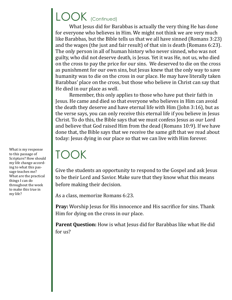### LOOK (Continued)

What Jesus did for Barabbas is actually the very thing He has done for everyone who believes in Him. We might not think we are very much like Barabbas, but the Bible tells us that we all have sinned (Romans 3:23) and the wages (the just and fair result) of that sin is death (Romans 6:23). The only person in all of human history who never sinned, who was not guilty, who did not deserve death, is Jesus. Yet it was He, not us, who died on the cross to pay the price for our sins. We deserved to die on the cross as punishment for our own sins, but Jesus knew that the only way to save humanity was to die on the cross in our place. He may have literally taken Barabbas' place on the cross, but those who believe in Christ can say that He died in our place as well.

Remember, this only applies to those who have put their faith in Jesus. He came and died so that everyone who believes in Him can avoid the death they deserve and have eternal life with Him (John 3:16), but as the verse says, you can only receive this eternal life if you believe in Jesus Christ. To do this, the Bible says that we must confess Jesus as our Lord and believe that God raised Him from the dead (Romans 10:9). If we have done that, the Bible says that we receive the same gift that we read about today: Jesus dying in our place so that we can live with Him forever.

## TOOK

Give the students an opportunity to respond to the Gospel and ask Jesus to be their Lord and Savior. Make sure that they know what this means before making their decision.

As a class, memorize Romans 6:23.

**Pray:** Worship Jesus for His innocence and His sacrifice for sins. Thank Him for dying on the cross in our place.

**Parent Question:** How is what Jesus did for Barabbas like what He did for us?

What is my response to this passage of Scripture? How should my life change according to what this passage teaches me? What are the practical things I can do throughout the week to make this true in my life?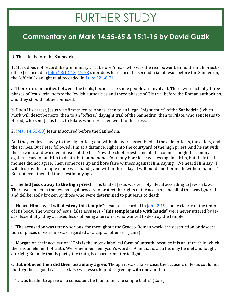## FURTHER STUDY

### **Commentary on Mark 14:55-65 & 15:1-15 by David Guzik**

D. The trial before the Sanhedrin.

1. Mark does not record the preliminary trial before Annas, who was the real power behind the high priest's office (recorded in [John 18:12](https://www.blueletterbible.org/kjv/john/18/12-13/s_1015012)-13, 19-[23\)](https://www.blueletterbible.org/kjv/john/18/19-23/s_1015019), nor does he record the second trial of Jesus before the Sanhedrin, the "official" daylight trial recorded in [Luke 22:66](https://www.blueletterbible.org/kjv/luke/22/66-71/s_995066)-71.

a. There are similarities between the trials, because the same people are involved. There were actually three phases of Jesus' trial before the Jewish authorities and three phases of His trial before the Roman authorities, and they should not be confused.

b. Upon His arrest, Jesus was first taken to Annas, then to an illegal "night court" of the Sanhedrin (which Mark will describe next), then to an "official" daylight trial of the Sanhedrin, then to Pilate, who sent Jesus to Herod, who sent Jesus back to Pilate, where He then went to the cross.

2. [\(Mar 14:53](https://www.blueletterbible.org/kjv/mark/14/53-59/s_971053)-59) Jesus is accused before the Sanhedrin.

And they led Jesus away to the high priest; and with him were assembled all the chief priests, the elders, and the scribes. But Peter followed Him at a distance, right into the courtyard of the high priest. And he sat with the servants and warmed himself at the fire. Now the chief priests and all the council sought testimony against Jesus to put Him to death, but found none. For many bore false witness against Him, but their testimonies did not agree. Then some rose up and bore false witness against Him, saying, "We heard Him say, 'I will destroy this temple made with hands, and within three days I will build another made without hands." But not even then did their testimony agree.

a. **The led Jesus away to the high priest**: This trial of Jesus was terribly illegal according to Jewish law. There was much in the Jewish legal process to protect the rights of the accused, and all of this was ignored and deliberately broken by those who were determined to put Jesus to death.

b. **Heard Him say, "I will destroy this temple"**: Jesus, as recorded in [John 2:19,](https://www.blueletterbible.org/kjv/john/2/19/s_999019) spoke clearly of the temple of His body. The words of Jesus' false accusers - "**this temple made with hands**" were never uttered by Jesus. Essentially, they accused Jesus of being a terrorist who wanted to destroy the temple.

i. "The accusation was utterly serious, for throughout the Graeco-Roman world the destruction or desecration of places of worship was regarded as a capital offense." (Lane)

ii. Morgan on their accusation: "This is the most diabolical form of untruth, because it is an untruth in which there is an element of truth. We remember Tennyson's words: 'A lie that is all a lie, may be met and fought outright; But a lie that is partly the truth, is a harder matter to fight.'"

c. **But not even then did their testimony agree**: Though it was a false case, the accusers of Jesus could not put together a good case. The false witnesses kept disagreeing with one another.

i. "It was harder to agree on a consistent lie than to tell the simple truth." (Cole)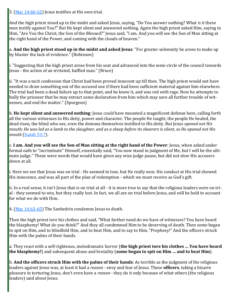3. ([Mar 14:60](https://www.blueletterbible.org/kjv/mark/14/60-62/s_971060)-62) Jesus testifies at His own trial.

And the high priest stood up in the midst and asked Jesus, saying, "Do You answer nothing? What *is it* these men testify against You?" But He kept silent and answered nothing. Again the high priest asked Him, saying to Him, "Are You the Christ, the Son of the Blessed?" Jesus said, "I am. And you will see the Son of Man sitting at the right hand of the Power, and coming with the clouds of heaven."

a. **And the high priest stood up in the midst and asked Jesus**: "For greater solemnity he arose to make up by bluster the lack of evidence." (Robinson)

i. "Suggesting that the high priest arose from his seat and advanced into the semi-circle of the council towards Jesus - the action of an irritated, baffled man." (Bruce)

ii. "It was a tacit confession that Christ had been proved innocent up till then. The high priest would not have needed to draw something out of the accused one if there had been sufficient material against him elsewhere. The trial had been a dead failure up to that point, and he knew it, and was red with rage. Now he attempts to bully the prisoner that he may extract some declaration from him which may save all further trouble of witnesses, and end the matter." (Spurgeon)

b. **He kept silent and answered nothing**: Jesus *could* have mounted a magnificent defense here, calling forth all the various witnesses to His deity, power and character. The people He taught, the people He healed, the dead risen, the blind who see, even the demons themselves testified to His deity. But Jesus *opened not His mouth; He was led as a lamb to the slaughter, and as a sheep before its shearers is silent, so He opened not His mouth* [\(Isaiah 53:7\)](https://www.blueletterbible.org/kjv/isaiah/53/7/s_732007).

c. **I am. And you will see the Son of Man sitting at the right hand of the Power**: Jesus, when asked under formal oath to "incriminate" Himself, essentially said, "You now stand in judgment of Me, but I will be the ultimate judge." These were words that would have given any wise judge pause, but did not slow His accusers down at all.

i. Here we see that Jesus was on trial - He seemed to lose, but He really won. His conduct at His trial showed His innocence, and was all part of the plan of redemption - which we must receive as God's gift.

ii. In a real sense, it isn't Jesus that is on trial at all - it is more true to say that the religious leaders were on trial - they seemed to win, but they really lost. In fact, we all are on trial before Jesus, and will be held to account for what we do with Him.

4. ([Mar 14:63](https://www.blueletterbible.org/kjv/mark/14/63-65/s_971063)-65) The Sanhedrin condemns Jesus to death.

Then the high priest tore his clothes and said, "What further need do we have of witnesses? You have heard the blasphemy! What do you think?" And they all condemned Him to be deserving of death. Then some began to spit on Him, and to blindfold Him, and to beat Him, and to say to Him, "Prophesy!" And the officers struck Him with the palms of their hands.

a. They react with a self-righteous, melodramatic horror (**the high priest tore his clothes … You have heard the blasphemy!**) and subsequent abuse and brutality (**some began to spit on Him … and to beat Him**).

b. **And the officers struck Him with the palms of their hands**: As terrible as the judgment of the religious leaders against Jesus was, at least it had a *reason* - envy and fear of Jesus. These **officers**, taking a bizarre pleasure in torturing Jesus, don't even have a *reason* - they do it only because of what others (the religious leaders) said about Jesus.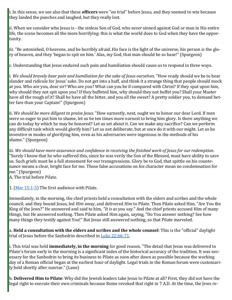i. In this sense, we see also that these **officers** were "on trial" before Jesus, and they seemed to win because they landed the punches and laughed, but they really lost.

ii. When we consider who Jesus is - the sinless Son of God, who *never* sinned against God or man in His entire life, the scene becomes all the more horrifying: this is what the world does to God when they have the opportunity.

iii. "Be astonished, O heavens, and be horribly afraid. His face is the light of the universe, his person is the glory of heaven, and they 'began to spit on him.' Alas, my God, that man should be so base!" (Spurgeon)

c. Understanding that Jesus endured such pain and humiliation should cause us to respond in three ways.

i. *We should bravely bear pain and humiliation for the sake of Jesus ourselves*. "How ready should we be to hear slander and ridicule for Jesus' sake. Do not get into a huff, and think it a strange thing that people should mock at you. Who are you, dear sir? Who are you? What can you be if compared with Christ? If they spat upon him, why should they not spit upon you? If they buffeted him, why should they not buffet you? Shall your Master have all the rough of it? Shall he have all the bitter, and you all the sweet? A pretty soldier you, to demand better fare than your Captain!" (Spurgeon)

ii. *We should be more diligent to praise Jesus*. "How earnestly, next, ought we to honor our dear Lord. If men were so eager to put him to shame, let us be ten times more earnest to bring him glory. Is there anything we can do today by which he may be honored? Let us set about it. Can we make any sacrifice? Can we perform any difficult task which would glorify him? Let us not deliberate, but at once do it with our might. Let us be inventive in modes of glorifying him, even as his adversaries were ingenious in the methods of his shame." (Spurgeon)

iii. *We should have more assurance and confidence in receiving the finished work of Jesus for our redemption*. "Surely I know that he who suffered this, since he was verily the Son of the Blessed, must have ability to save us. Such griefs must be a full atonement for our transgressions. Glory be to God, that spittle on his countenance means a clear, bright face for me. Those false accusations on his character mean no condemnation for me." (Spurgeon)

A. The trial before Pilate.

1. ([Mar 15:1](https://www.blueletterbible.org/kjv/mark/15/1-5/s_972001)-5) The first audience with Pilate.

Immediately, in the morning, the chief priests held a consultation with the elders and scribes and the whole council; and they bound Jesus, led *Him* away, and delivered *Him* to Pilate. Then Pilate asked Him, "Are You the King of the Jews?" He answered and said to him, *"It is as* you say." And the chief priests accused Him of many things, but He answered nothing. Then Pilate asked Him again, saying, "Do You answer nothing? See how many things they testify against You!" But Jesus still answered nothing, so that Pilate marveled.

a. **Held a consultation with the elders and scribes and the whole counsel**: This is the "official" daylight trial of Jesus before the Sanhedrin described in [Luke 22:66](https://www.blueletterbible.org/kjv/luke/22/66-71/s_995066)-71.

i. This trial was held **immediately, in the morning** for good reason. "The detail that Jesus was delivered to Pilate's forum early in the morning is a significant index of the historical accuracy of the tradition. It was necessary for the Sanhedrin to bring its business to Pilate as soon after dawn as possible because the working day of a Roman official began at the earliest hour of daylight. Legal trials in the Roman forum were customarily held shortly after sunrise." (Lane)

b. **Delivered Him to Pilate**: Why did the Jewish leaders take Jesus to Pilate at all? First, they did not have the legal right to execute their own criminals because Rome revoked that right in 7 A.D. At the time, the Jews re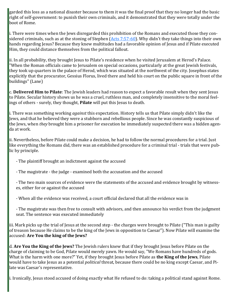garded this loss as a national disaster because to them it was the final proof that they no longer had the basic right of self-government: to punish their own criminals, and it demonstrated that they were totally under the boot of Rome.

i. There were times when the Jews disregarded this prohibition of the Romans and executed those they considered criminals, such as at the stoning of Stephen  $(Acts 7:57-60)$  $(Acts 7:57-60)$  $(Acts 7:57-60)$ . Why didn't they take things into their own hands regarding Jesus? Because they knew multitudes had a favorable opinion of Jesus and if Pilate executed Him, they could distance themselves from the political fallout.

ii. In all probability, they brought Jesus to Pilate's residence when he visited Jerusalem at Herod's Palace. "When the Roman officials came to Jerusalem on special occasions, particularly at the great Jewish festivals, they took up quarters in the palace of Herod, which was situated at the northwest of the city. Josephus states explicitly that the procurator, Gessius Florus, lived there and held his court on the public square in front of the buildings" (Lane)

c. **Delivered Him to Pilate**: The Jewish leaders had reason to expect a favorable result when they sent Jesus to Pilate. Secular history shows us he was a cruel, ruthless man, and completely insensitive to the moral feelings of others - surely, they thought, **Pilate** will put this Jesus to death.

i. There was something working *against* this expectation. History tells us that Pilate simply didn't like the Jews, and that he believed they were a stubborn and rebellious people. Since he was constantly suspicious of the Jews, when *they* brought him a prisoner for execution he immediately suspected there was a hidden agenda at work.

ii. Nevertheless, before Pilate could make a decision, he had to follow the normal procedures for a trial. Just like everything the Romans did, there was an established procedure for a criminal trial - trials that were public by principle.

- The plaintiff brought an indictment against the accused
- The magistrate the judge examined both the accusation and the accused

- The two main sources of evidence were the statements of the accused and evidence brought by witnesses, either for or against the accused

- When all the evidence was received, a court official declared that all the evidence was in

- The magistrate was then free to consult with advisors, and then announce his verdict from the judgment seat. The sentence was executed immediately

iii. Mark picks up the trial of Jesus at the second step - the charges were brought to Pilate ("This man is guilty of treason because He claims to be the king of the Jews in opposition to Caesar"). Now Pilate will examine the accused: **Are You the king of the Jews?**

d. **Are You the King of the Jews?** The Jewish rulers knew that if they brought Jesus before Pilate on the charge of claiming to be God, Pilate would merely yawn. He would say, "We Romans have hundreds of gods. What is the harm with one more?" Yet, if they brought Jesus before Pilate as **the King of the Jews**, Pilate would have to take Jesus as a potential *political* threat, because there could be no king except Caesar, and Pilate was Caesar's representative.

i. Ironically, Jesus stood accused of doing exactly what He refused to do: taking a political stand against Rome.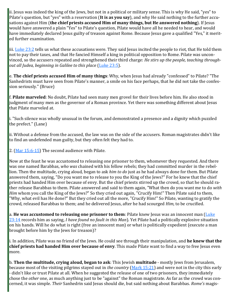ii. Jesus was indeed the king of the Jews, but not in a political or military sense. This is why He said, "yes" to Pilate's question, but "yes" with a reservation (**It is as you say**), and why He said nothing to the further accusations against Him (**the chief priests accused Him of many things, but He answered nothing**). If Jesus would have answered a plain "Yes" to Pilate's question, Pilate would have all he needed to hear, and would have immediately declared Jesus guilty of treason against Rome. Because Jesus gave a qualified "Yes," it merited further examination.

iii. [Luke 23:2](https://www.blueletterbible.org/kjv/luke/23/2/s_996002) tells us what these accusations were. They said Jesus incited the people to riot, that He told them not to pay their taxes, and that He fancied Himself a king in political opposition to Rome. Pilate was unconvinced, so the accusers repeated and strengthened their third charge: *He stirs up the people, teaching throughout all Judea, beginning in Galilee to this place* ([Luke 23:5\).](https://www.blueletterbible.org/kjv/luke/23/5/s_996005)

e. **The chief priests accused Him of many things**: Why, when Jesus had already "confessed" to Pilate? "The Sanhedrists must have seen from Pilate's manner, a smile on his face perhaps, that he did not take the confession seriously." (Bruce)

f. **Pilate marveled**: No doubt, Pilate had seen many men grovel for their lives before him. He also stood in judgment of many men as the governor of a Roman province. Yet there was something different about Jesus that Pilate marveled at.

i. "Such silence was wholly unusual in the forum, and demonstrated a presence and a dignity which puzzled the prefect." (Lane)

ii. Without a defense from the accused, the law was on the side of the accusers. Roman magistrates didn't like to find an undefended man guilty, but they often felt they had to.

2. ([Mar 15:6](https://www.blueletterbible.org/kjv/mark/15/6-15/s_972006)-15) The second audience with Pilate.

Now at the feast he was accustomed to releasing one prisoner to them, whomever they requested. And there was one named Barabbas, *who was* chained with his fellow rebels; they had committed murder in the rebellion. Then the multitude, crying aloud, began to ask *him to do* just as he had always done for them. But Pilate answered them, saying, "Do you want me to release to you the King of the Jews?" For he knew that the chief priests had handed Him over because of envy. But the chief priests stirred up the crowd, so that he should rather release Barabbas to them. Pilate answered and said to them again, "What then do you want me to do *with Him* whom you call the King of the Jews?" So they cried out again, "Crucify Him!" Then Pilate said to them, "Why, what evil has He done?" But they cried out all the more, "Crucify Him!" So Pilate, wanting to gratify the crowd, released Barabbas to them; and he delivered Jesus, after he had scourged *Him,* to be crucified.

a. **He was accustomed to releasing one prisoner to them**: Pilate knew Jesus was an innocent man ([Luke](https://www.blueletterbible.org/kjv/luke/23/14/s_996014)  [23:14](https://www.blueletterbible.org/kjv/luke/23/14/s_996014) records him as saying, *I have found no fault in this Man*). Yet Pilate had a politically explosive situation on his hands. Will he do what is right (free an innocent man) or what is politically expedient (execute a man brought before him by the Jews for treason)?

i. In addition, Pilate was no friend of the Jews. He could see through their manipulation, and **he knew that the chief priests had handed Him over because of envy**. This made Pilate want to find a way to free Jesus even more.

b. **Then the multitude, crying aloud, began to ask**: This Jewish **multitude** - mostly Jews from Jerusalem, because most of the visiting pilgrims stayed out in *the country* ([Mark 15:21\)](https://www.blueletterbible.org/kjv/mark/15/21/s_972021) and were not in the city this early - didn't like or trust Pilate at all. When he suggested the release of one of two prisoners, they immediately chose the *other* one, as much anything just to be "against" the Roman magistrate. As far as the crowd was concerned, it was simple. *Their* Sanhedrin said Jesus should die, but said nothing about Barabbas. *Rome's* magis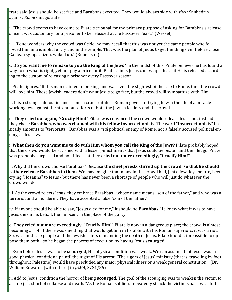trate said Jesus should be set free and Barabbas executed. They would always side with *their* Sanhedrin against *Rome's* magistrate.

i. "The crowd seems to have come to Pilate's tribunal for the primary purpose of asking for Barabbas's release since it was customary for a prisoner to be released at the Passover Feast." (Wessel)

ii. "If one wonders why the crowd was fickle, he may recall that this was not yet the same people who followed him in triumphal entry and in the temple. That was the plan of Judas to get the thing over before those Galilean sympathizers waked up." (Robertson)

c. **Do you want me to release to you the King of the Jews?** In the midst of this, Pilate believes he has found a way to do what is right, yet not pay a price for it. Pilate thinks Jesus can escape death if He is released according to the custom of releasing a prisoner every Passover season.

i. Pilate figures, "If this man claimed to be king, and was even the slightest bit hostile to Rome, then the crowd will love him. These Jewish leaders don't want Jesus to go free, but the crowd will sympathize with Him."

ii. It is a strange, almost insane scene: a cruel, ruthless Roman governor trying to win the life of a miracleworking Jew against the strenuous efforts of both the Jewish leaders and the crowd.

d. **They cried out again, "Crucify Him!"** Pilate was convinced the crowd would release Jesus, but instead they chose **Barabbas, who was chained with his fellow insurrectionists**. The word "**insurrectionists**" basically amounts to "terrorists." Barabbas was a *real* political enemy of Rome, not a falsely accused political enemy, as Jesus was.

i. **What then do you want me to do with Him whom you call the King of the Jews?** Pilate probably hoped that the crowd would be satisfied with a lesser punishment - that Jesus could be beaten and then let go. Pilate was probably surprised and horrified that they **cried out more exceedingly, "Crucify Him!"**

ii. Why did the crowd choose Barabbas? Because **the chief priests stirred up the crowd, so that he should rather release Barabbas to them**. We may imagine that many in this crowd had, just a few days before, been crying "Hosanna" to Jesus - but there has never been a shortage of people who will just do whatever the crowd will do.

iii. As the crowd rejects Jesus, they embrace Barabbas - whose name means "son of the father," and who was a terrorist and a murderer. They have accepted a false "son of the father."

iv. If anyone should be able to say, "Jesus died for me," it should be **Barabbas**. He knew what it was to have Jesus die on his behalf, the innocent in the place of the guilty.

e. **They cried out more exceedingly, "Crucify Him!"** Pilate is now in a dangerous place; the crowd is almost becoming a riot. If there was one thing that would get him in trouble with his Roman superiors, it was a riot. So, with both the people and the Jewish rulers demanding the death of Jesus, Pilate found it impossible to oppose them both - so he began the process of execution by having Jesus **scourged**.

i. Even before Jesus was to be **scourged**, His physical condition was weak. We can assume that Jesus was in good physical condition up until the night of His arrest. "The rigors of Jesus' ministry (that is, traveling by foot throughout Palestine) would have precluded any major physical illness or a weak general constitution." (Dr. William Edwards [with others] in *JAMA*, 3/21/86)

ii. Add to Jesus' condition the horror of being **scourged**. The goal of the scourging was to weaken the victim to a state just short of collapse and death. "As the Roman soldiers repeatedly struck the victim's back with full